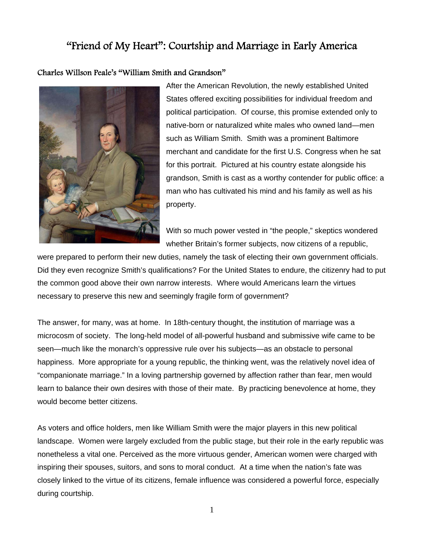# "Friend of My Heart": Courtship and Marriage in Early America

## Charles Willson Peale's "William Smith and Grandson"



After the American Revolution, the newly established United States offered exciting possibilities for individual freedom and political participation. Of course, this promise extended only to native-born or naturalized white males who owned land—men such as William Smith. Smith was a prominent Baltimore merchant and candidate for the first U.S. Congress when he sat for this portrait. Pictured at his country estate alongside his grandson, Smith is cast as a worthy contender for public office: a man who has cultivated his mind and his family as well as his property.

With so much power vested in "the people," skeptics wondered whether Britain's former subjects, now citizens of a republic,

were prepared to perform their new duties, namely the task of electing their own government officials. Did they even recognize Smith's qualifications? For the United States to endure, the citizenry had to put the common good above their own narrow interests. Where would Americans learn the virtues necessary to preserve this new and seemingly fragile form of government?

The answer, for many, was at home. In 18th-century thought, the institution of marriage was a microcosm of society. The long-held model of all-powerful husband and submissive wife came to be seen—much like the monarch's oppressive rule over his subjects—as an obstacle to personal happiness. More appropriate for a young republic, the thinking went, was the relatively novel idea of "companionate marriage." In a loving partnership governed by affection rather than fear, men would learn to balance their own desires with those of their mate. By practicing benevolence at home, they would become better citizens.

As voters and office holders, men like William Smith were the major players in this new political landscape. Women were largely excluded from the public stage, but their role in the early republic was nonetheless a vital one. Perceived as the more virtuous gender, American women were charged with inspiring their spouses, suitors, and sons to moral conduct. At a time when the nation's fate was closely linked to the virtue of its citizens, female influence was considered a powerful force, especially during courtship.

1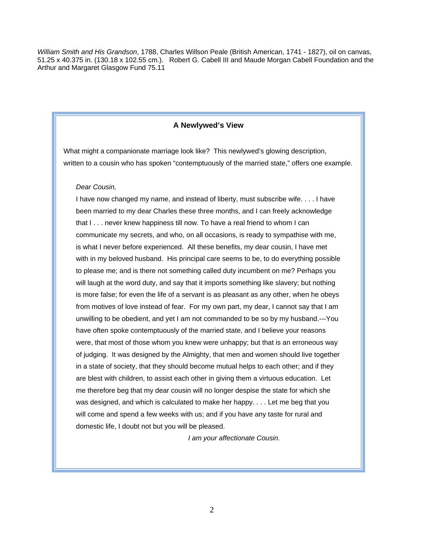*William Smith and His Grandson*, 1788, Charles Willson Peale (British American, 1741 - 1827), oil on canvas, 51.25 x 40.375 in. (130.18 x 102.55 cm.). Robert G. Cabell III and Maude Morgan Cabell Foundation and the Arthur and Margaret Glasgow Fund 75.11

### **A Newlywed's View**

What might a companionate marriage look like? This newlywed's glowing description, written to a cousin who has spoken "contemptuously of the married state," offers one example.

### *Dear Cousin,*

I have now changed my name, and instead of liberty, must subscribe wife. . . . I have been married to my dear Charles these three months, and I can freely acknowledge that I . . . never knew happiness till now. To have a real friend to whom I can communicate my secrets, and who, on all occasions, is ready to sympathise with me, is what I never before experienced. All these benefits, my dear cousin, I have met with in my beloved husband. His principal care seems to be, to do everything possible to please me; and is there not something called duty incumbent on me? Perhaps you will laugh at the word duty, and say that it imports something like slavery; but nothing is more false; for even the life of a servant is as pleasant as any other, when he obeys from motives of love instead of fear. For my own part, my dear, I cannot say that I am unwilling to be obedient, and yet I am not commanded to be so by my husband.---You have often spoke contemptuously of the married state, and I believe your reasons were, that most of those whom you knew were unhappy; but that is an erroneous way of judging. It was designed by the Almighty, that men and women should live together in a state of society, that they should become mutual helps to each other; and if they are blest with children, to assist each other in giving them a virtuous education. Let me therefore beg that my dear cousin will no longer despise the state for which she was designed, and which is calculated to make her happy. . . . Let me beg that you will come and spend a few weeks with us; and if you have any taste for rural and domestic life, I doubt not but you will be pleased.

*I am your affectionate Cousin.*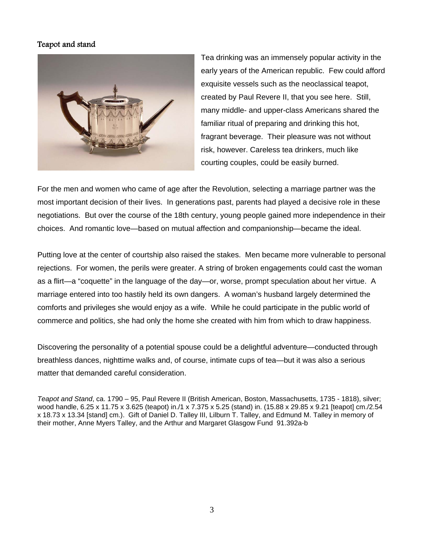## Teapot and stand



Tea drinking was an immensely popular activity in the early years of the American republic.Few could afford exquisite vessels such as the neoclassical teapot, created by Paul Revere II, that you see here. Still, many middle- and upper-class Americans shared the familiar ritual of preparing and drinking this hot, fragrant beverage. Their pleasure was not without risk, however. Careless tea drinkers, much like courting couples, could be easily burned.

For the men and women who came of age after the Revolution, selecting a marriage partner was the most important decision of their lives. In generations past, parents had played a decisive role in these negotiations. But over the course of the 18th century, young people gained more independence in their choices. And romantic love—based on mutual affection and companionship—became the ideal.

Putting love at the center of courtship also raised the stakes. Men became more vulnerable to personal rejections. For women, the perils were greater. A string of broken engagements could cast the woman as a flirt—a "coquette" in the language of the day—or, worse, prompt speculation about her virtue. A marriage entered into too hastily held its own dangers. A woman's husband largely determined the comforts and privileges she would enjoy as a wife. While he could participate in the public world of commerce and politics, she had only the home she created with him from which to draw happiness.

Discovering the personality of a potential spouse could be a delightful adventure—conducted through breathless dances, nighttime walks and, of course, intimate cups of tea—but it was also a serious matter that demanded careful consideration.

*Teapot and Stand*, ca. 1790 – 95, Paul Revere II (British American, Boston, Massachusetts, 1735 - 1818), silver; wood handle, 6.25 x 11.75 x 3.625 (teapot) in./1 x 7.375 x 5.25 (stand) in. (15.88 x 29.85 x 9.21 [teapot] cm./2.54 x 18.73 x 13.34 [stand] cm.). Gift of Daniel D. Talley III, Lilburn T. Talley, and Edmund M. Talley in memory of their mother, Anne Myers Talley, and the Arthur and Margaret Glasgow Fund 91.392a-b

3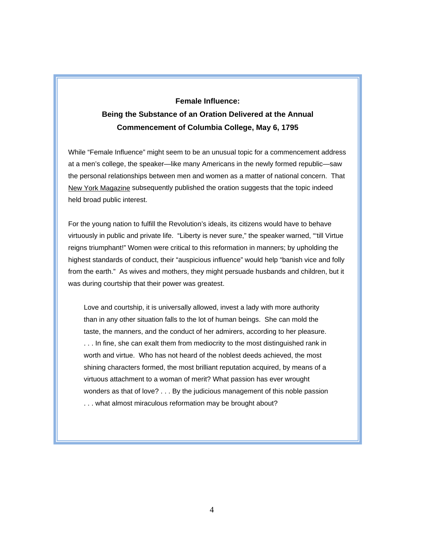# **Female Influence: Being the Substance of an Oration Delivered at the Annual Commencement of Columbia College, May 6, 1795**

While "Female Influence" might seem to be an unusual topic for a commencement address at a men's college, the speaker—like many Americans in the newly formed republic—saw the personal relationships between men and women as a matter of national concern. That New York Magazine subsequently published the oration suggests that the topic indeed held broad public interest.

For the young nation to fulfill the Revolution's ideals, its citizens would have to behave virtuously in public and private life. "Liberty is never sure," the speaker warned, "'till Virtue reigns triumphant!" Women were critical to this reformation in manners; by upholding the highest standards of conduct, their "auspicious influence" would help "banish vice and folly from the earth." As wives and mothers, they might persuade husbands and children, but it was during courtship that their power was greatest.

Love and courtship, it is universally allowed, invest a lady with more authority than in any other situation falls to the lot of human beings. She can mold the taste, the manners, and the conduct of her admirers, according to her pleasure. ... In fine, she can exalt them from mediocrity to the most distinguished rank in worth and virtue. Who has not heard of the noblest deeds achieved, the most shining characters formed, the most brilliant reputation acquired, by means of a virtuous attachment to a woman of merit? What passion has ever wrought wonders as that of love? . . . By the judicious management of this noble passion . . . what almost miraculous reformation may be brought about?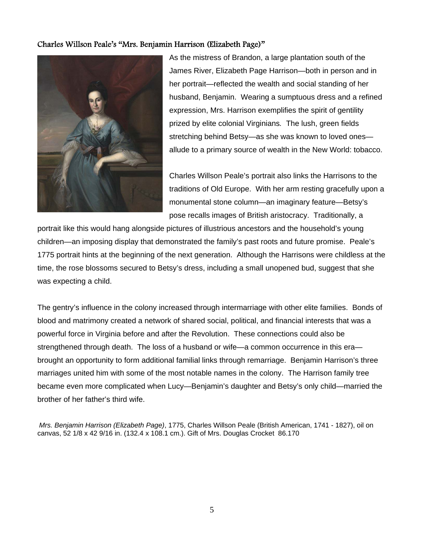## Charles Willson Peale's "Mrs. Benjamin Harrison (Elizabeth Page)"



As the mistress of Brandon, a large plantation south of the James River, Elizabeth Page Harrison—both in person and in her portrait—reflected the wealth and social standing of her husband, Benjamin. Wearing a sumptuous dress and a refined expression, Mrs. Harrison exemplifies the spirit of gentility prized by elite colonial Virginians*.* The lush, green fields stretching behind Betsy—as she was known to loved ones allude to a primary source of wealth in the New World: tobacco.

Charles Willson Peale's portrait also links the Harrisons to the traditions of Old Europe. With her arm resting gracefully upon a monumental stone column—an imaginary feature—Betsy's pose recalls images of British aristocracy. Traditionally, a

portrait like this would hang alongside pictures of illustrious ancestors and the household's young children—an imposing display that demonstrated the family's past roots and future promise. Peale's 1775 portrait hints at the beginning of the next generation. Although the Harrisons were childless at the time, the rose blossoms secured to Betsy's dress, including a small unopened bud, suggest that she was expecting a child.

The gentry's influence in the colony increased through intermarriage with other elite families. Bonds of blood and matrimony created a network of shared social, political, and financial interests that was a powerful force in Virginia before and after the Revolution. These connections could also be strengthened through death. The loss of a husband or wife—a common occurrence in this era brought an opportunity to form additional familial links through remarriage. Benjamin Harrison's three marriages united him with some of the most notable names in the colony.The Harrison family tree became even more complicated when Lucy—Benjamin's daughter and Betsy's only child—married the brother of her father's third wife.

*Mrs. Benjamin Harrison (Elizabeth Page)*, 1775, Charles Willson Peale (British American, 1741 - 1827), oil on canvas, 52 1/8 x 42 9/16 in. (132.4 x 108.1 cm.). Gift of Mrs. Douglas Crocket 86.170

5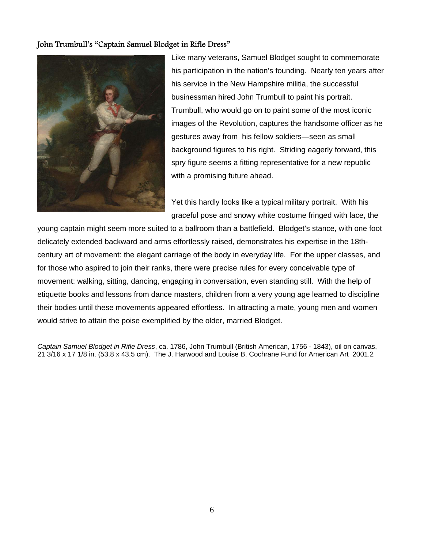## John Trumbull's "Captain Samuel Blodget in Rifle Dress"



Like many veterans, Samuel Blodget sought to commemorate his participation in the nation's founding. Nearly ten years after his service in the New Hampshire militia, the successful businessman hired John Trumbull to paint his portrait. Trumbull, who would go on to paint some of the most iconic images of the Revolution, captures the handsome officer as he gestures away from his fellow soldiers—seen as small background figures to his right. Striding eagerly forward, this spry figure seems a fitting representative for a new republic with a promising future ahead.

Yet this hardly looks like a typical military portrait. With his graceful pose and snowy white costume fringed with lace, the

young captain might seem more suited to a ballroom than a battlefield. Blodget's stance, with one foot delicately extended backward and arms effortlessly raised, demonstrates his expertise in the 18thcentury art of movement: the elegant carriage of the body in everyday life. For the upper classes, and for those who aspired to join their ranks, there were precise rules for every conceivable type of movement: walking, sitting, dancing, engaging in conversation, even standing still. With the help of etiquette books and lessons from dance masters, children from a very young age learned to discipline their bodies until these movements appeared effortless. In attracting a mate, young men and women would strive to attain the poise exemplified by the older, married Blodget.

*Captain Samuel Blodget in Rifle Dress*, ca. 1786, John Trumbull (British American, 1756 - 1843), oil on canvas, 21 3/16 x 17 1/8 in. (53.8 x 43.5 cm). The J. Harwood and Louise B. Cochrane Fund for American Art 2001.2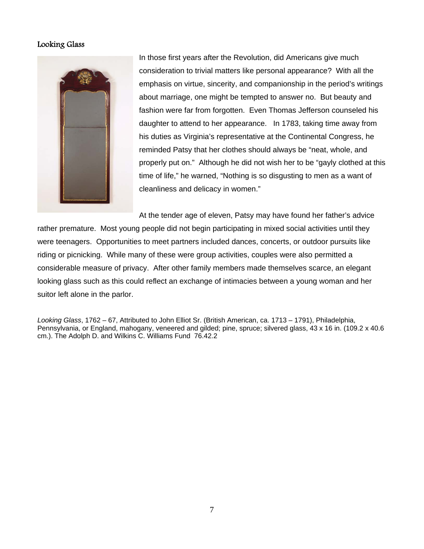## Looking Glass



In those first years after the Revolution, did Americans give much consideration to trivial matters like personal appearance? With all the emphasis on virtue, sincerity, and companionship in the period's writings about marriage, one might be tempted to answer no. But beauty and fashion were far from forgotten. Even Thomas Jefferson counseled his daughter to attend to her appearance. In 1783, taking time away from his duties as Virginia's representative at the Continental Congress, he reminded Patsy that her clothes should always be "neat, whole, and properly put on." Although he did not wish her to be "gayly clothed at this time of life," he warned, "Nothing is so disgusting to men as a want of cleanliness and delicacy in women."

At the tender age of eleven, Patsy may have found her father's advice rather premature. Most young people did not begin participating in mixed social activities until they were teenagers. Opportunities to meet partners included dances, concerts, or outdoor pursuits like riding or picnicking. While many of these were group activities, couples were also permitted a considerable measure of privacy. After other family members made themselves scarce, an elegant looking glass such as this could reflect an exchange of intimacies between a young woman and her suitor left alone in the parlor.

*Looking Glass*, 1762 – 67, Attributed to John Elliot Sr. (British American, ca. 1713 – 1791), Philadelphia, Pennsylvania, or England, mahogany, veneered and gilded; pine, spruce; silvered glass, 43 x 16 in. (109.2 x 40.6 cm.). The Adolph D. and Wilkins C. Williams Fund 76.42.2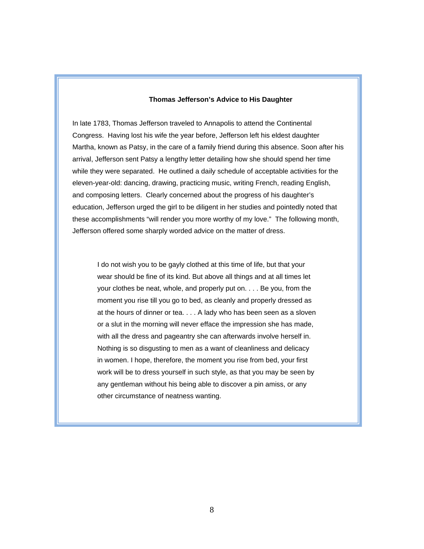## **Thomas Jefferson's Advice to His Daughter**

In late 1783, Thomas Jefferson traveled to Annapolis to attend the Continental Congress. Having lost his wife the year before, Jefferson left his eldest daughter Martha, known as Patsy, in the care of a family friend during this absence. Soon after his arrival, Jefferson sent Patsy a lengthy letter detailing how she should spend her time while they were separated. He outlined a daily schedule of acceptable activities for the eleven-year-old: dancing, drawing, practicing music, writing French, reading English, and composing letters. Clearly concerned about the progress of his daughter's education, Jefferson urged the girl to be diligent in her studies and pointedly noted that these accomplishments "will render you more worthy of my love." The following month, Jefferson offered some sharply worded advice on the matter of dress.

I do not wish you to be gayly clothed at this time of life, but that your wear should be fine of its kind. But above all things and at all times let your clothes be neat, whole, and properly put on. . . . Be you, from the moment you rise till you go to bed, as cleanly and properly dressed as at the hours of dinner or tea. . . . A lady who has been seen as a sloven or a slut in the morning will never efface the impression she has made, with all the dress and pageantry she can afterwards involve herself in. Nothing is so disgusting to men as a want of cleanliness and delicacy in women. I hope, therefore, the moment you rise from bed, your first work will be to dress yourself in such style, as that you may be seen by any gentleman without his being able to discover a pin amiss, or any other circumstance of neatness wanting.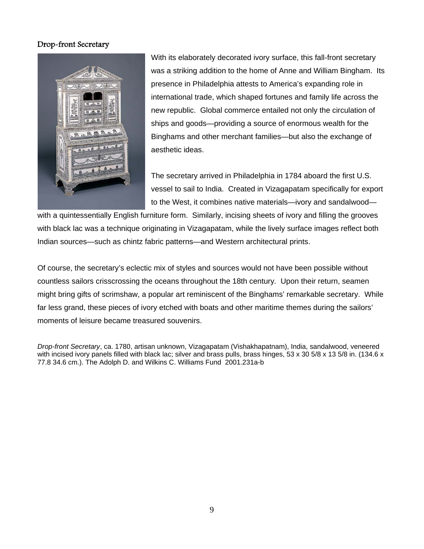## Drop-front Secretary



With its elaborately decorated ivory surface, this fall-front secretary was a striking addition to the home of Anne and William Bingham. Its presence in Philadelphia attests to America's expanding role in international trade, which shaped fortunes and family life across the new republic. Global commerce entailed not only the circulation of ships and goods—providing a source of enormous wealth for the Binghams and other merchant families—but also the exchange of aesthetic ideas.

The secretary arrived in Philadelphia in 1784 aboard the first U.S. vessel to sail to India. Created in Vizagapatam specifically for export to the West, it combines native materials—ivory and sandalwood—

with a quintessentially English furniture form. Similarly, incising sheets of ivory and filling the grooves with black lac was a technique originating in Vizagapatam, while the lively surface images reflect both Indian sources—such as chintz fabric patterns—and Western architectural prints.

Of course, the secretary's eclectic mix of styles and sources would not have been possible without countless sailors crisscrossing the oceans throughout the 18th century*.* Upon their return, seamen might bring gifts of scrimshaw, a popular art reminiscent of the Binghams' remarkable secretary. While far less grand, these pieces of ivory etched with boats and other maritime themes during the sailors' moments of leisure became treasured souvenirs.

*Drop-front Secretary*, ca. 1780, artisan unknown, Vizagapatam (Vishakhapatnam), India, sandalwood, veneered with incised ivory panels filled with black lac; silver and brass pulls, brass hinges, 53 x 30 5/8 x 13 5/8 in. (134.6 x 77.8 34.6 cm.). The Adolph D. and Wilkins C. Williams Fund 2001.231a-b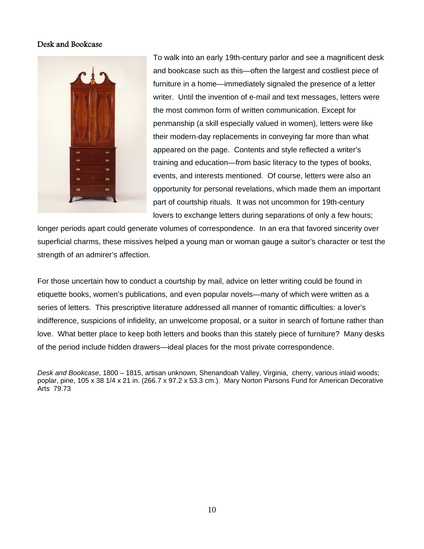## Desk and Bookcase



To walk into an early 19th-century parlor and see a magnificent desk and bookcase such as this—often the largest and costliest piece of furniture in a home—immediately signaled the presence of a letter writer. Until the invention of e-mail and text messages, letters were the most common form of written communication. Except for penmanship (a skill especially valued in women), letters were like their modern-day replacements in conveying far more than what appeared on the page. Contents and style reflected a writer's training and education—from basic literacy to the types of books, events, and interests mentioned. Of course, letters were also an opportunity for personal revelations, which made them an important part of courtship rituals.It was not uncommon for 19th-century lovers to exchange letters during separations of only a few hours;

longer periods apart could generate volumes of correspondence. In an era that favored sincerity over superficial charms, these missives helped a young man or woman gauge a suitor's character or test the strength of an admirer's affection.

For those uncertain how to conduct a courtship by mail, advice on letter writing could be found in etiquette books, women's publications, and even popular novels—many of which were written as a series of letters. This prescriptive literature addressed all manner of romantic difficulties: a lover's indifference, suspicions of infidelity, an unwelcome proposal, or a suitor in search of fortune rather than love. What better place to keep both letters and books than this stately piece of furniture? Many desks of the period include hidden drawers—ideal places for the most private correspondence.

*Desk and Bookcase*, 1800 – 1815, artisan unknown, Shenandoah Valley, Virginia, cherry, various inlaid woods; poplar, pine, 105 x 38 1/4 x 21 in. (266.7 x 97.2 x 53.3 cm.). Mary Norton Parsons Fund for American Decorative Arts 79.73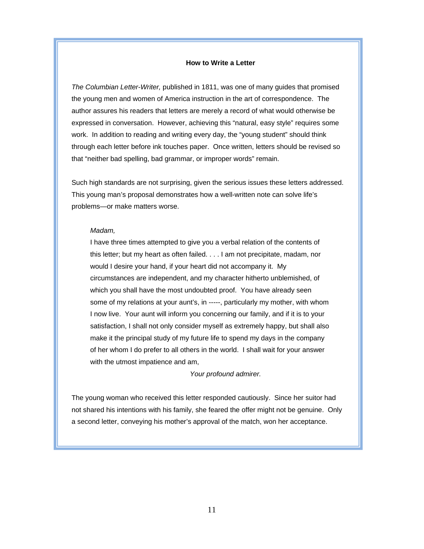### **How to Write a Letter**

*The Columbian Letter-Writer,* published in 1811, was one of many guides that promised the young men and women of America instruction in the art of correspondence. The author assures his readers that letters are merely a record of what would otherwise be expressed in conversation. However, achieving this "natural, easy style" requires some work. In addition to reading and writing every day, the "young student" should think through each letter before ink touches paper. Once written, letters should be revised so that "neither bad spelling, bad grammar, or improper words" remain.

Such high standards are not surprising, given the serious issues these letters addressed. This young man's proposal demonstrates how a well-written note can solve life's problems—or make matters worse.

#### *Madam,*

I have three times attempted to give you a verbal relation of the contents of this letter; but my heart as often failed. . . . I am not precipitate, madam, nor would I desire your hand, if your heart did not accompany it. My circumstances are independent, and my character hitherto unblemished, of which you shall have the most undoubted proof. You have already seen some of my relations at your aunt's, in -----, particularly my mother, with whom I now live. Your aunt will inform you concerning our family, and if it is to your satisfaction, I shall not only consider myself as extremely happy, but shall also make it the principal study of my future life to spend my days in the company of her whom I do prefer to all others in the world. I shall wait for your answer with the utmost impatience and am,

*Your profound admirer.* 

The young woman who received this letter responded cautiously. Since her suitor had not shared his intentions with his family, she feared the offer might not be genuine. Only a second letter, conveying his mother's approval of the match, won her acceptance.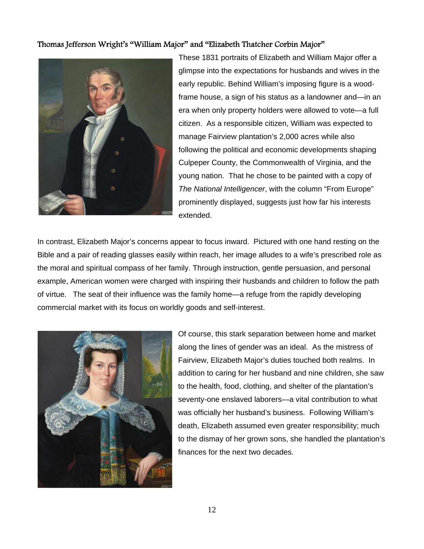## Thomas Jefferson Wright's "William Major" and "Elizabeth Thatcher Corbin Major"



These 1831 portraits of Elizabeth and William Major offer a glimpse into the expectations for husbands and wives in the early republic. Behind William's imposing figure is a woodframe house, a sign of his status as a landowner and—in an era when only property holders were allowed to vote—a full citizen. As a responsible citizen, William was expected to manage Fairview plantation's 2,000 acres while also following the political and economic developments shaping Culpeper County, the Commonwealth of Virginia, and the young nation.That he chose to be painted with a copy of *The National Intelligencer*, with the column "From Europe" prominently displayed, suggests just how far his interests extended.

In contrast, Elizabeth Major's concerns appear to focus inward. Pictured with one hand resting on the Bible and a pair of reading glasses easily within reach, her image alludes to a wife's prescribed role as the moral and spiritual compass of her family. Through instruction, gentle persuasion, and personal example, American women were charged with inspiring their husbands and children to follow the path of virtue. The seat of their influence was the family home—a refuge from the rapidly developing commercial market with its focus on worldly goods and self-interest.



Of course, this stark separation between home and market along the lines of gender was an ideal. As the mistress of Fairview, Elizabeth Major's duties touched both realms. In addition to caring for her husband and nine children, she saw to the health, food, clothing, and shelter of the plantation's seventy-one enslaved laborers—a vital contribution to what was officially her husband's business. Following William's death, Elizabeth assumed even greater responsibility; much to the dismay of her grown sons, she handled the plantation's finances for the next two decades.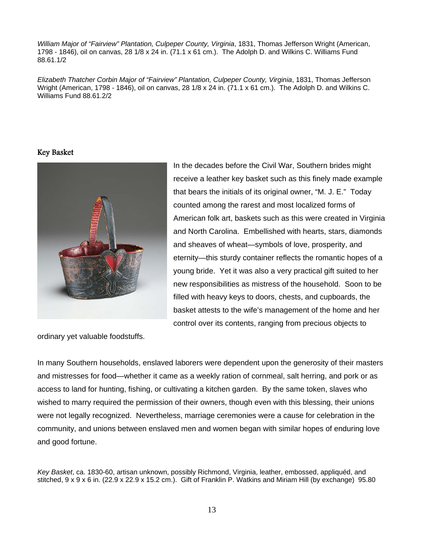*William Major of "Fairview" Plantation, Culpeper County, Virginia*, 1831, Thomas Jefferson Wright (American, 1798 - 1846), oil on canvas, 28 1/8 x 24 in. (71.1 x 61 cm.). The Adolph D. and Wilkins C. Williams Fund 88.61.1/2

*Elizabeth Thatcher Corbin Major of "Fairview" Plantation, Culpeper County, Virginia*, 1831, Thomas Jefferson Wright (American, 1798 - 1846), oil on canvas, 28 1/8 x 24 in. (71.1 x 61 cm.). The Adolph D. and Wilkins C. Williams Fund 88.61.2/2

## Key Basket



In the decades before the Civil War, Southern brides might receive a leather key basket such as this finely made example that bears the initials of its original owner, "M. J. E." Today counted among the rarest and most localized forms of American folk art, baskets such as this were created in Virginia and North Carolina. Embellished with hearts, stars, diamonds and sheaves of wheat—symbols of love, prosperity, and eternity—this sturdy container reflects the romantic hopes of a young bride. Yet it was also a very practical gift suited to her new responsibilities as mistress of the household.Soon to be filled with heavy keys to doors, chests, and cupboards, the basket attests to the wife's management of the home and her control over its contents, ranging from precious objects to

ordinary yet valuable foodstuffs.

In many Southern households, enslaved laborers were dependent upon the generosity of their masters and mistresses for food—whether it came as a weekly ration of cornmeal, salt herring, and pork or as access to land for hunting, fishing, or cultivating a kitchen garden.By the same token, slaves who wished to marry required the permission of their owners, though even with this blessing, their unions were not legally recognized.Nevertheless, marriage ceremonies were a cause for celebration in the community, and unions between enslaved men and women began with similar hopes of enduring love and good fortune.

*Key Basket*, ca. 1830-60, artisan unknown, possibly Richmond, Virginia, leather, embossed, appliquéd, and stitched, 9 x 9 x 6 in. (22.9 x 22.9 x 15.2 cm.). Gift of Franklin P. Watkins and Miriam Hill (by exchange) 95.80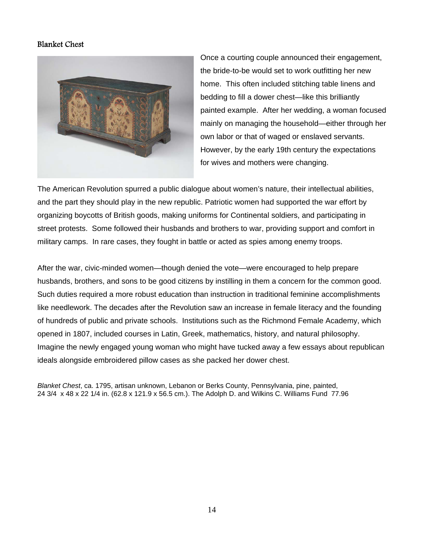## Blanket Chest



Once a courting couple announced their engagement, the bride-to-be would set to work outfitting her new home. This often included stitching table linens and bedding to fill a dower chest—like this brilliantly painted example. After her wedding, a woman focused mainly on managing the household—either through her own labor or that of waged or enslaved servants. However, by the early 19th century the expectations for wives and mothers were changing.

The American Revolution spurred a public dialogue about women's nature, their intellectual abilities, and the part they should play in the new republic. Patriotic women had supported the war effort by organizing boycotts of British goods, making uniforms for Continental soldiers, and participating in street protests. Some followed their husbands and brothers to war, providing support and comfort in military camps. In rare cases, they fought in battle or acted as spies among enemy troops.

After the war, civic-minded women—though denied the vote—were encouraged to help prepare husbands, brothers, and sons to be good citizens by instilling in them a concern for the common good. Such duties required a more robust education than instruction in traditional feminine accomplishments like needlework. The decades after the Revolution saw an increase in female literacy and the founding of hundreds of public and private schools. Institutions such as the Richmond Female Academy, which opened in 1807, included courses in Latin, Greek, mathematics, history, and natural philosophy. Imagine the newly engaged young woman who might have tucked away a few essays about republican ideals alongside embroidered pillow cases as she packed her dower chest.

*Blanket Chest*, ca. 1795, artisan unknown, Lebanon or Berks County, Pennsylvania, pine, painted, 24 3/4 x 48 x 22 1/4 in. (62.8 x 121.9 x 56.5 cm.). The Adolph D. and Wilkins C. Williams Fund 77.96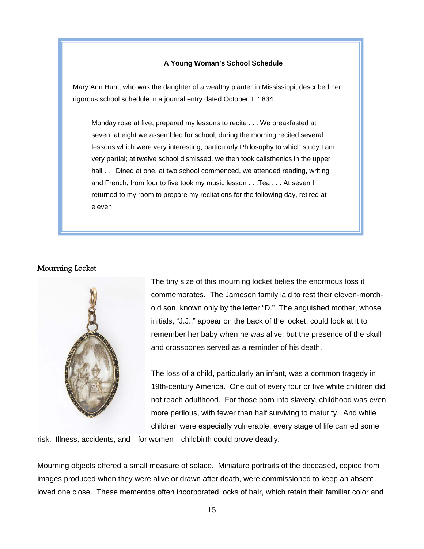### **A Young Woman's School Schedule**

Mary Ann Hunt, who was the daughter of a wealthy planter in Mississippi, described her rigorous school schedule in a journal entry dated October 1, 1834.

Monday rose at five, prepared my lessons to recite . . . We breakfasted at seven, at eight we assembled for school, during the morning recited several lessons which were very interesting, particularly Philosophy to which study I am very partial; at twelve school dismissed, we then took calisthenics in the upper hall . . . Dined at one, at two school commenced, we attended reading, writing and French, from four to five took my music lesson . . .Tea . . . At seven I returned to my room to prepare my recitations for the following day, retired at eleven.

### Mourning Locket



The tiny size of this mourning locket belies the enormous loss it commemorates. The Jameson family laid to rest their eleven-monthold son, known only by the letter "D." The anguished mother, whose initials, "J.J.," appear on the back of the locket, could look at it to remember her baby when he was alive, but the presence of the skull and crossbones served as a reminder of his death.

The loss of a child, particularly an infant, was a common tragedy in 19th-century America. One out of every four or five white children did not reach adulthood. For those born into slavery, childhood was even more perilous, with fewer than half surviving to maturity. And while children were especially vulnerable, every stage of life carried some

risk. Illness, accidents, and—for women—childbirth could prove deadly.

Mourning objects offered a small measure of solace. Miniature portraits of the deceased, copied from images produced when they were alive or drawn after death, were commissioned to keep an absent loved one close. These mementos often incorporated locks of hair, which retain their familiar color and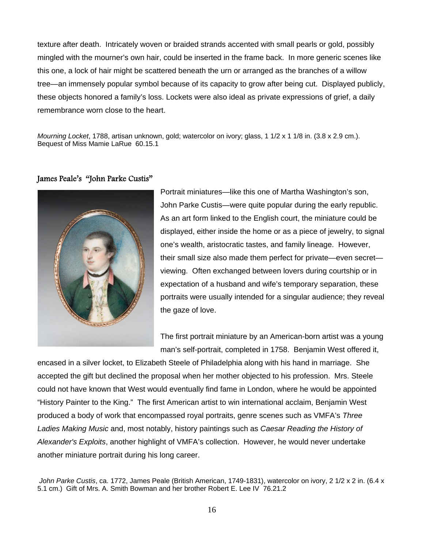texture after death. Intricately woven or braided strands accented with small pearls or gold, possibly mingled with the mourner's own hair, could be inserted in the frame back. In more generic scenes like this one, a lock of hair might be scattered beneath the urn or arranged as the branches of a willow tree—an immensely popular symbol because of its capacity to grow after being cut. Displayed publicly, these objects honored a family's loss. Lockets were also ideal as private expressions of grief, a daily remembrance worn close to the heart.

*Mourning Locket*, 1788, artisan unknown, gold; watercolor on ivory; glass, 1 1/2 x 1 1/8 in. (3.8 x 2.9 cm.). Bequest of Miss Mamie LaRue 60.15.1

## James Peale's "John Parke Custis"



Portrait miniatures—like this one of Martha Washington's son, John Parke Custis—were quite popular during the early republic. As an art form linked to the English court, the miniature could be displayed, either inside the home or as a piece of jewelry, to signal one's wealth, aristocratic tastes, and family lineage. However, their small size also made them perfect for private—even secret viewing. Often exchanged between lovers during courtship or in expectation of a husband and wife's temporary separation, these portraits were usually intended for a singular audience; they reveal the gaze of love.

The first portrait miniature by an American-born artist was a young man's self-portrait, completed in 1758. Benjamin West offered it,

encased in a silver locket, to Elizabeth Steele of Philadelphia along with his hand in marriage. She accepted the gift but declined the proposal when her mother objected to his profession. Mrs. Steele could not have known that West would eventually find fame in London, where he would be appointed "History Painter to the King." The first American artist to win international acclaim, Benjamin West produced a body of work that encompassed royal portraits, genre scenes such as VMFA's *Three Ladies Making Music* and, most notably, history paintings such as *Caesar Reading the History of Alexander's Exploits*, another highlight of VMFA's collection. However, he would never undertake another miniature portrait during his long career.

*John Parke Custis*, ca. 1772, James Peale (British American, 1749-1831), watercolor on ivory, 2 1/2 x 2 in. (6.4 x 5.1 cm.) Gift of Mrs. A. Smith Bowman and her brother Robert E. Lee IV 76.21.2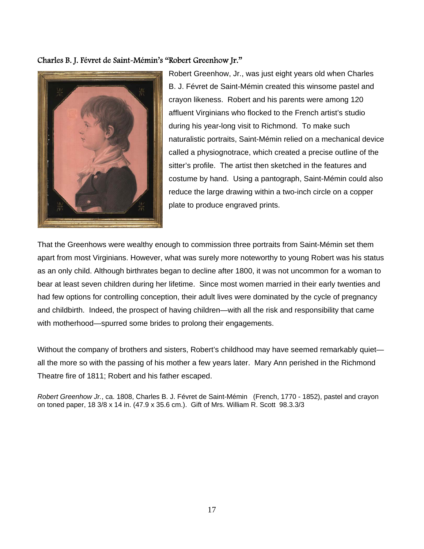## Charles B. J. Févret de Saint-Mémin's "Robert Greenhow Jr."



Robert Greenhow, Jr., was just eight years old when Charles B. J. Févret de Saint-Mémin created this winsome pastel and crayon likeness. Robert and his parents were among 120 affluent Virginians who flocked to the French artist's studio during his year-long visit to Richmond. To make such naturalistic portraits, Saint-Mémin relied on a mechanical device called a physiognotrace, which created a precise outline of the sitter's profile. The artist then sketched in the features and costume by hand. Using a pantograph, Saint-Mémin could also reduce the large drawing within a two-inch circle on a copper plate to produce engraved prints.

That the Greenhows were wealthy enough to commission three portraits from Saint-Mémin set them apart from most Virginians. However, what was surely more noteworthy to young Robert was his status as an only child. Although birthrates began to decline after 1800, it was not uncommon for a woman to bear at least seven children during her lifetime. Since most women married in their early twenties and had few options for controlling conception, their adult lives were dominated by the cycle of pregnancy and childbirth. Indeed, the prospect of having children—with all the risk and responsibility that came with motherhood—spurred some brides to prolong their engagements.

Without the company of brothers and sisters, Robert's childhood may have seemed remarkably quiet all the more so with the passing of his mother a few years later. Mary Ann perished in the Richmond Theatre fire of 1811; Robert and his father escaped.

*Robert Greenhow Jr.*, ca. 1808, Charles B. J. Févret de Saint-Mémin (French, 1770 - 1852), pastel and crayon on toned paper, 18 3/8 x 14 in. (47.9 x 35.6 cm.). Gift of Mrs. William R. Scott 98.3.3/3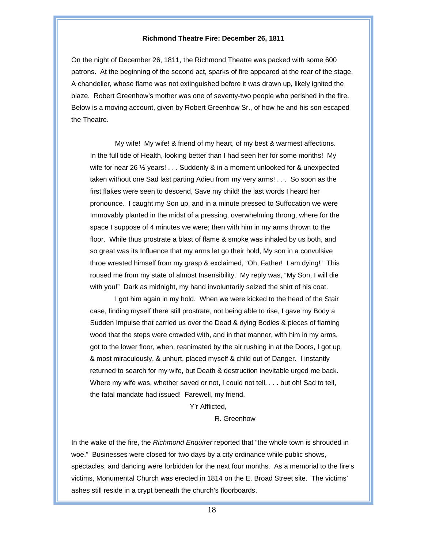### **Richmond Theatre Fire: December 26, 1811**

On the night of December 26, 1811, the Richmond Theatre was packed with some 600 patrons. At the beginning of the second act, sparks of fire appeared at the rear of the stage. A chandelier, whose flame was not extinguished before it was drawn up, likely ignited the blaze. Robert Greenhow's mother was one of seventy-two people who perished in the fire. Below is a moving account, given by Robert Greenhow Sr., of how he and his son escaped the Theatre.

My wife! My wife! & friend of my heart, of my best & warmest affections. In the full tide of Health, looking better than I had seen her for some months! My wife for near 26 <sup>1/2</sup> years! . . . Suddenly & in a moment unlooked for & unexpected taken without one Sad last parting Adieu from my very arms! . . . So soon as the first flakes were seen to descend, Save my child! the last words I heard her pronounce. I caught my Son up, and in a minute pressed to Suffocation we were Immovably planted in the midst of a pressing, overwhelming throng, where for the space I suppose of 4 minutes we were; then with him in my arms thrown to the floor. While thus prostrate a blast of flame & smoke was inhaled by us both, and so great was its Influence that my arms let go their hold, My son in a convulsive throe wrested himself from my grasp & exclaimed, "Oh, Father! I am dying!" This roused me from my state of almost Insensibility. My reply was, "My Son, I will die with you!" Dark as midnight, my hand involuntarily seized the shirt of his coat.

I got him again in my hold. When we were kicked to the head of the Stair case, finding myself there still prostrate, not being able to rise, I gave my Body a Sudden Impulse that carried us over the Dead & dying Bodies & pieces of flaming wood that the steps were crowded with, and in that manner, with him in my arms, got to the lower floor, when, reanimated by the air rushing in at the Doors, I got up & most miraculously, & unhurt, placed myself & child out of Danger. I instantly returned to search for my wife, but Death & destruction inevitable urged me back. Where my wife was, whether saved or not, I could not tell. . . . but oh! Sad to tell, the fatal mandate had issued! Farewell, my friend.

#### Y'r Afflicted,

### R. Greenhow

In the wake of the fire, the *Richmond Enquirer* reported that "the whole town is shrouded in woe." Businesses were closed for two days by a city ordinance while public shows, spectacles, and dancing were forbidden for the next four months. As a memorial to the fire's victims, Monumental Church was erected in 1814 on the E. Broad Street site. The victims' ashes still reside in a crypt beneath the church's floorboards.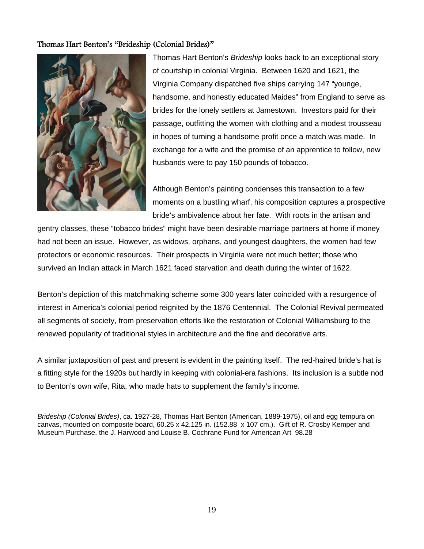## Thomas Hart Benton's "Brideship (Colonial Brides)"



Thomas Hart Benton's *Brideship* looks back to an exceptional story of courtship in colonial Virginia. Between 1620 and 1621, the Virginia Company dispatched five ships carrying 147 "younge, handsome, and honestly educated Maides" from England to serve as brides for the lonely settlers at Jamestown. Investors paid for their passage, outfitting the women with clothing and a modest trousseau in hopes of turning a handsome profit once a match was made. In exchange for a wife and the promise of an apprentice to follow, new husbands were to pay 150 pounds of tobacco.

Although Benton's painting condenses this transaction to a few moments on a bustling wharf, his composition captures a prospective bride's ambivalence about her fate. With roots in the artisan and

gentry classes, these "tobacco brides" might have been desirable marriage partners at home if money had not been an issue. However, as widows, orphans, and youngest daughters, the women had few protectors or economic resources. Their prospects in Virginia were not much better; those who survived an Indian attack in March 1621 faced starvation and death during the winter of 1622.

Benton's depiction of this matchmaking scheme some 300 years later coincided with a resurgence of interest in America's colonial period reignited by the 1876 Centennial. The Colonial Revival permeated all segments of society, from preservation efforts like the restoration of Colonial Williamsburg to the renewed popularity of traditional styles in architecture and the fine and decorative arts.

A similar juxtaposition of past and present is evident in the painting itself. The red-haired bride's hat is a fitting style for the 1920s but hardly in keeping with colonial-era fashions. Its inclusion is a subtle nod to Benton's own wife, Rita, who made hats to supplement the family's income.

*Brideship (Colonial Brides)*, ca. 1927-28, Thomas Hart Benton (American, 1889-1975), oil and egg tempura on canvas, mounted on composite board, 60.25 x 42.125 in. (152.88 x 107 cm.). Gift of R. Crosby Kemper and Museum Purchase, the J. Harwood and Louise B. Cochrane Fund for American Art 98.28